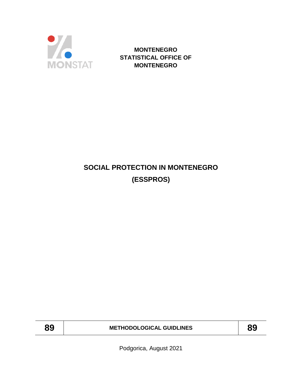

**MONTENEGRO STATISTICAL OFFICE OF MONTENEGRO**

# **SOCIAL PROTECTION IN MONTENEGRO (ESSPROS)**

**89 METHODOLOGICAL GUIDLINES 89**

Podgorica, August 2021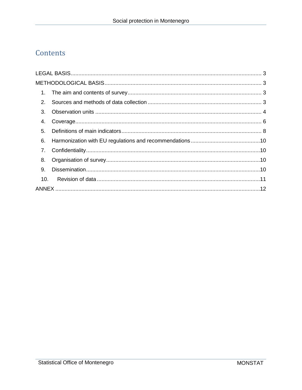## Contents

| 2 <sub>1</sub> |  |  |  |  |  |
|----------------|--|--|--|--|--|
| 3.             |  |  |  |  |  |
| 4.             |  |  |  |  |  |
| 5.             |  |  |  |  |  |
| 6.             |  |  |  |  |  |
| 7.             |  |  |  |  |  |
| 8.             |  |  |  |  |  |
| 9.             |  |  |  |  |  |
| 10.            |  |  |  |  |  |
|                |  |  |  |  |  |
|                |  |  |  |  |  |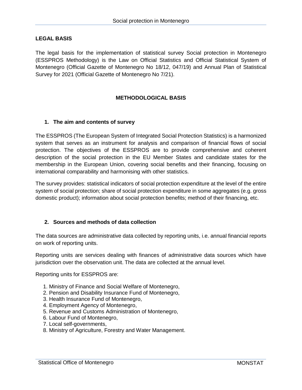### <span id="page-2-0"></span>**LEGAL BASIS**

The legal basis for the implementation of statistical survey Social protection in Montenegro (ESSPROS Methodology) is the Law on Official Statistics and Official Statistical System of Montenegro (Official Gazette of Montenegro No 18/12, 047/19) and Annual Plan of Statistical Survey for 2021 (Official Gazette of Montenegro No 7/21).

## **METHODOLOGICAL BASIS**

#### <span id="page-2-2"></span><span id="page-2-1"></span>**1. The aim and contents of survey**

The ESSPROS (The European System of Integrated Social Protection Statistics) is a harmonized system that serves as an instrument for analysis and comparison of financial flows of social protection. The objectives of the ESSPROS are to provide comprehensive and coherent description of the social protection in the EU Member States and candidate states for the membership in the European Union, covering social benefits and their financing, focusing on international comparability and harmonising with other statistics.

The survey provides: statistical indicators of social protection expenditure at the level of the entire system of social protection; share of social protection expenditure in some aggregates (e.g. gross domestic product); information about social protection benefits; method of their financing, etc.

#### <span id="page-2-3"></span>**2. Sources and methods of data collection**

The data sources are administrative data collected by reporting units, i.e. annual financial reports on work of reporting units.

Reporting units are services dealing with finances of administrative data sources which have jurisdiction over the observation unit. The data are collected at the annual level.

Reporting units for ESSPROS are:

- 1. Ministry of Finance and Social Welfare of Montenegro,
- 2. Pension and Disability Insurance Fund of Montenegro,
- 3. Health Insurance Fund of Montenegro,
- 4. Employment Agency of Montenegro,
- 5. Revenue and Customs Administration of Montenegro,
- 6. Labour Fund of Montenegro,
- 7. Local self-governments,
- 8. Ministry of Agriculture, Forestry and Water Management.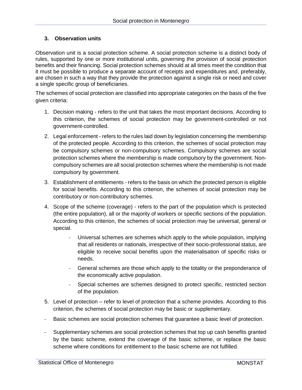## <span id="page-3-0"></span>**3. Observation units**

Observation unit is a social protection scheme. A social protection scheme is a distinct body of rules, supported by one or more institutional units, governing the provision of social protection benefits and their financing. Social protection schemes should at all times meet the condition that it must be possible to produce a separate account of receipts and expenditures and, preferably, are chosen in such a way that they provide the protection against a single risk or need and cover a single specific group of beneficiaries.

The schemes of social protection are classified into appropriate categories on the basis of the five given criteria:

- 1. Decision making refers to the unit that takes the most important decisions. According to this criterion, the schemes of social protection may be government-controlled or not government-controlled.
- 2. Legal enforcement refers to the rules laid down by legislation concerning the membership of the protected people. According to this criterion, the schemes of social protection may be compulsory schemes or non-compulsory schemes. Compulsory schemes are social protection schemes where the membership is made compulsory by the government. Noncompulsory schemes are all social protection schemes where the membership is not made compulsory by government.
- 3. Establishment of entitlements refers to the basis on which the protected person is eligible for social benefits. According to this criterion, the schemes of social protection may be contributory or non-contributory schemes.
- 4. Scope of the scheme (coverage) refers to the part of the population which is protected (the entire population), all or the majority of workers or specific sections of the population. According to this criterion, the schemes of social protection may be universal, general or special.
	- Universal schemes are schemes which apply to the whole population, implying that all residents or nationals, irrespective of their socio-professional status, are eligible to receive social benefits upon the materialisation of specific risks or needs.
	- General schemes are those which apply to the totality or the preponderance of the economically active population.
	- Special schemes are schemes designed to protect specific, restricted section of the population.
- 5. Level of protection refer to level of protection that a scheme provides. According to this criterion, the schemes of social protection may be basic or supplementary.
- Basic schemes are social protection schemes that guarantee a basic level of protection.
- Supplementary schemes are social protection schemes that top up cash benefits granted by the basic scheme, extend the coverage of the basic scheme, or replace the basic scheme where conditions for entitlement to the basic scheme are not fulfilled.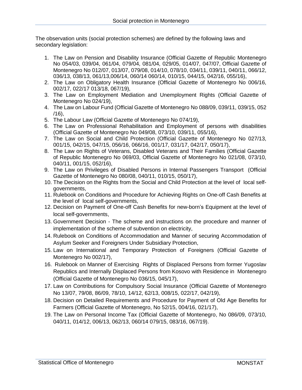The observation units (social protection schemes) are defined by the following laws and secondary legislation:

- 1. The Law on Pension and Disability Insurance (Official Gazette of Republic Montenegro No 054/03, 039/04, 061/04, 079/04, 081/04, 029/05, 014/07, 047/07, Official Gazette of Montenegro No 012/07, 013/07, 079/08, 014/10, 078/10, 034/11, 039/11, 040/11, 066/12, 036/13, 038/13, 061/13,006/14, 060/14 060/14, 010/15, 044/15, 042/16, 055/16),
- 2. The Law on Obligatory Health Insurance (Official Gazette of Montenegro No 006/16, 002/17, 022/17 013/18, 067/19),
- 3. The Law on Employment Mediation and Unemployment Rights (Official Gazette of Montenegro No 024/19),
- 4. The Law on Labour Fund (Official Gazette of Montenegro No 088/09, 039/11, 039/15, 052 /16),
- 5. The Labour Law (Official Gazette of Montenegro No 074/19),
- 6. The Law on Professional Rehabilitation and Employment of persons with disabilities (Official Gazette of Montenegro No 049/08, 073/10, 039/11, 055/16),
- 7. The Law on Social and Child Protection (Official Gazette of Montenegro No 027/13, 001/15, 042/15, 047/15, 056/16, 066/16, 001/17, 031/17, 042/17, 050/17),
- 8. The Law on Rights of Veterans, Disabled Veterans and Their Families (Official Gazette of Republic Montenegro No 069/03, Official Gazette of Montenegro No 021/08, 073/10, 040/11, 001/15, 052/16),
- 9. The Law on Privileges of Disabled Persons in Internal Passengers Transport (Official Gazette of Montenegro No 080/08, 040/11, 010/15, 050/17),
- 10. The Decision on the Rights from the Social and Child Protection at the level of local selfgovernments,
- 11. Rulebook on Conditions and Procedure for Achieving Rights on One-off Cash Benefits at the level of local self-governments,
- 12. Decision on Payment of One-off Cash Benefits for new-born's Equipment at the level of local self-governments,
- 13. Government Decision The scheme and instructions on the procedure and manner of implementation of the scheme of subvention on electricity,
- 14. Rulebook on Conditions of Accommodation and Manner of securing Accommodation of Asylum Seeker and Foreigners Under Subsidiary Protection,
- 15. Law on International and Temporary Protection of Foreigners (Official Gazette of Montenegro No 002/17),
- 16. Rulebook on Manner of Exercising Rights of Displaced Persons from former Yugoslav Republics and Internally Displaced Persons from Kosovo with Residence in Montenegro (Official Gazette of Montenegro No 036/15, 045/17),
- 17. Law on Contributions for Compulsory Social Insurance (Official Gazette of Montenegro No 13/07, 79/08, 86/09, 78/10, 14/12, 62/13, 008/15, 022/17, 042/19),
- 18. Decision on Detailed Requirements and Procedure for Payment of Old Age Benefits for Farmers (Official Gazette of Montenegro, No 52/15, 004/16, 021/17),
- 19. The Law on Personal Income Tax (Official Gazette of Montenegro, No 086/09, 073/10, 040/11, 014/12, 006/13, 062/13, 060/14 079/15, 083/16, 067/19).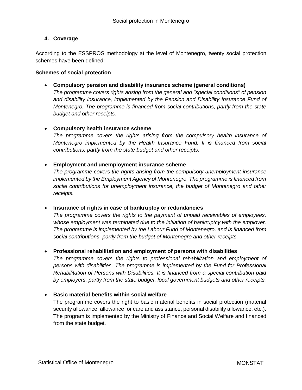## <span id="page-5-0"></span>**4. Coverage**

According to the ESSPROS methodology at the level of Montenegro, twenty social protection schemes have been defined:

#### **Schemes of social protection**

**Compulsory pension and disability insurance scheme (general conditions)**

*The programme covers rights arising from the general and "special conditions" of pension and disability insurance, implemented by the Pension and Disability Insurance Fund of Montenegro. The programme is financed from social contributions, partly from the state budget and other receipts.*

#### **Compulsory health insurance scheme**

*The programme covers the rights arising from the compulsory health insurance of Montenegro implemented by the Health Insurance Fund. It is financed from social contributions, partly from the state budget and other receipts.*

#### **Employment and unemployment insurance scheme**

*The programme covers the rights arising from the compulsory unemployment insurance implemented by the Employment Agency of Montenegro. The programme is financed from social contributions for unemployment insurance, the budget of Montenegro and other receipts.*

#### **Insurance of rights in case of bankruptcy or redundancies**

*The programme covers the rights to the payment of unpaid receivables of employees, whose employment was terminated due to the initiation of bankruptcy with the employer. The programme is implemented by the Labour Fund of Montenegro, and is financed from social contributions, partly from the budget of Montenegro and other receipts.*

#### **Professional rehabilitation and employment of persons with disabilities**

The programme covers the rights to professional rehabilitation and employment of *persons with disabilities. The programme is implemented by the Fund for Professional Rehabilitation of Persons with Disabilities. It is financed from a special contribution paid by employers, partly from the state budget, local government budgets and other receipts.*

#### **Basic material benefits within social welfare**

The programme covers the right to basic material benefits in social protection (material security allowance, allowance for care and assistance, personal disability allowance, etc.). The program is implemented by the Ministry of Finance and Social Welfare and financed from the state budget.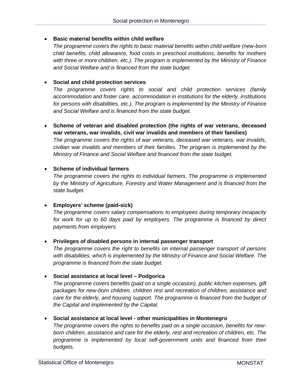## **Basic material benefits within child welfare**

*The programme covers the rights to basic material benefits within child welfare (new-born child benefits, child allowance, food costs in preschool institutions, benefits for mothers with three or more children, etc.). The program is implemented by the Ministry of Finance and Social Welfare and is financed from the state budget.*

## **Social and child protection services**

*The programme covers rights to social and child protection services (family accommodation and foster care, accommodation in institutions for the elderly, institutions for persons with disabilities, etc.). The program is implemented by the Ministry of Finance and Social Welfare and is financed from the state budget.*

 **Scheme of veteran and disabled protection (the rights of war veterans, deceased war veterans, war invalids, civil war invalids and members of their families)** *The programme covers the rights of war veterans, deceased war veterans, war invalids, civilian war invalids and members of their families. The program is implemented by the Ministry of Finance and Social Welfare and financed from the state budget.*

## **Scheme of individual farmers**

*The programme covers the rights to individual farmers. The programme is implemented by the Ministry of Agriculture, Forestry and Water Management and is financed from the state budget.*

#### **Employers' scheme (paid-sick)**

*The programme covers salary compensations to employees during temporary incapacity*  for work for up to 60 days paid by employers. The programme is financed by direct *payments from employers.*

#### **Privileges of disabled persons in internal passenger transport**

*The programme covers the right to benefits on internal passenger transport of persons with disabilities, which is implemented by the Ministry of Finance and Social Welfare. The programme is financed from the state budget.*

#### **Social assistance at local level – Podgorica**

*The programme covers benefits (paid on a single occasion), public kitchen expenses, gift packages for new-born children, children rest and recreation of children, assistance and care for the elderly, and housing support. The programme is financed from the budget of the Capital and implemented by the Capital.*

## **Social assistance at local level - other municipalities in Montenegro**

*The programme covers the rights to benefits paid on a single occasion, benefits for newborn children, assistance and care for the elderly, rest and recreation of children, etc. The*  programme is implemented by local self-government units and financed from their *budgets.*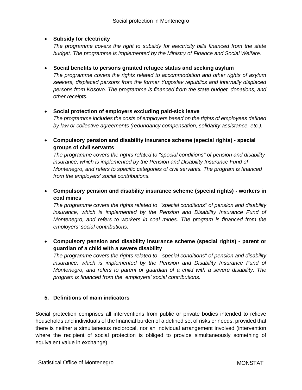## **Subsidy for electricity**

*The programme covers the right to subsidy for electricity bills financed from the state budget. The programme is implemented by the Ministry of Finance and Social Welfare.*

#### **Social benefits to persons granted refugee status and seeking asylum**

*The programme covers the rights related to accommodation and other rights of asylum seekers, displaced persons from the former Yugoslav republics and internally displaced persons from Kosovo. The programme is financed from the state budget, donations, and other receipts.*

## **Social protection of employers excluding paid-sick leave**

*The programme includes the costs of employers based on the rights of employees defined by law or collective agreements (redundancy compensation, solidarity assistance, etc.).*

 **Compulsory pension and disability insurance scheme (special rights) - special groups of civil servants**

*The programme covers the rights related to "special conditions" of pension and disability insurance, which is implemented by the Pension and Disability Insurance Fund of Montenegro, and refers to specific categories of civil servants. The program is financed from the employers' social contributions.*

 **Compulsory pension and disability insurance scheme (special rights) - workers in coal mines**

*The programme covers the rights related to "special conditions" of pension and disability*  insurance, which is implemented by the Pension and Disability Insurance Fund of *Montenegro, and refers to workers in coal mines. The program is financed from the employers' social contributions.*

 **Compulsory pension and disability insurance scheme (special rights) - parent or guardian of a child with a severe disability**

*The programme covers the rights related to "special conditions" of pension and disability*  insurance, which is implemented by the Pension and Disability Insurance Fund of *Montenegro, and refers to parent or guardian of a child with a severe disability. The program is financed from the employers' social contributions.*

## <span id="page-7-0"></span>**5. Definitions of main indicators**

Social protection comprises all interventions from public or private bodies intended to relieve households and individuals of the financial burden of a defined set of risks or needs, provided that there is neither a simultaneous reciprocal, nor an individual arrangement involved (intervention where the recipient of social protection is obliged to provide simultaneously something of equivalent value in exchange).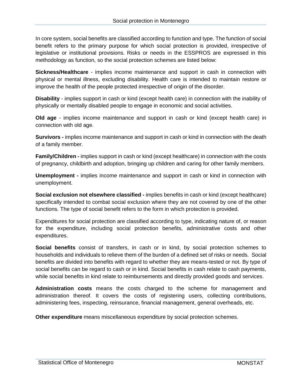In core system, social benefits are classified according to function and type. The function of social benefit refers to the primary purpose for which social protection is provided, irrespective of legislative or institutional provisions. Risks or needs in the ESSPROS are expressed in this methodology as function, so the social protection schemes are listed below:

**Sickness/Healthcare** - implies income maintenance and support in cash in connection with physical or mental illness, excluding disability. Health care is intended to maintain restore or improve the health of the people protected irrespective of origin of the disorder.

**Disability** - implies support in cash or kind (except health care) in connection with the inability of physically or mentally disabled people to engage in economic and social activities.

**Old age** - implies income maintenance and support in cash or kind (except health care) in connection with old age.

**Survivors -** implies income maintenance and support in cash or kind in connection with the death of a family member.

**Family/Children -** implies support in cash or kind (except healthcare) in connection with the costs of pregnancy, childbirth and adoption, bringing up children and caring for other family members.

**Unemployment -** implies income maintenance and support in cash or kind in connection with unemployment.

**Social exclusion not elsewhere classified -** implies benefits in cash or kind (except healthcare) specifically intended to combat social exclusion where they are not covered by one of the other functions. The type of social benefit refers to the form in which protection is provided.

Expenditures for social protection are classified according to type, indicating nature of, or reason for the expenditure, including social protection benefits, administrative costs and other expenditures.

**Social benefits** consist of transfers, in cash or in kind, by social protection schemes to households and individuals to relieve them of the burden of a defined set of risks or needs. Social benefits are divided into benefits with regard to whether they are means-tested or not. By type of social benefits can be regard to cash or in kind. Social benefits in cash relate to cash payments, while social benefits in kind relate to reimbursements and directly provided goods and services.

**Administration costs** means the costs charged to the scheme for management and administration thereof. It covers the costs of registering users, collecting contributions, administering fees, inspecting, reinsurance, financial management, general overheads, etc.

**Other expenditure** means miscellaneous expenditure by social protection schemes.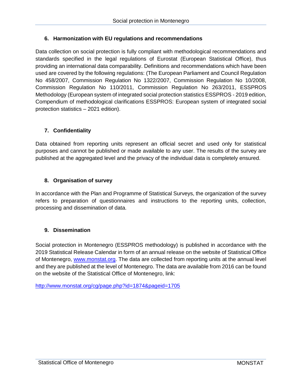## <span id="page-9-0"></span>**6. Harmonization with EU regulations and recommendations**

Data collection on social protection is fully compliant with methodological recommendations and standards specified in the legal regulations of Eurostat (European Statistical Office), thus providing an international data comparability. Definitions and recommendations which have been used are covered by the following regulations: (The European Parliament and Council Regulation No 458/2007, Commission Regulation No 1322/2007, Commission Regulation No 10/2008, Commission Regulation No 110/2011, Commission Regulation No 263/2011, ESSPROS Methodology (European system of integrated social protection statistics ESSPROS - 2019 edition, Compendium of methodological clarifications ESSPROS: European system of integrated social protection statistics – 2021 edition).

## <span id="page-9-1"></span>**7. Confidentiality**

Data obtained from reporting units represent an official secret and used only for statistical purposes and cannot be published or made available to any user. The results of the survey are published at the aggregated level and the privacy of the individual data is completely ensured.

## <span id="page-9-2"></span>**8. Organisation of survey**

In accordance with the Plan and Programme of Statistical Surveys, the organization of the survey refers to preparation of questionnaires and instructions to the reporting units, collection, processing and dissemination of data.

## <span id="page-9-3"></span>**9. Dissemination**

Social protection in Montenegro (ESSPROS methodology) is published in accordance with the 2019 Statistical Release Calendar in form of an annual release on the website of Statistical Office of Montenegro, [www.monstat.org.](http://www.monstat.org/) The data are collected from reporting units at the annual level and they are published at the level of Montenegro. The data are available from 2016 can be found on the website of the Statistical Office of Montenegro, link:

<http://www.monstat.org/cg/page.php?id=1874&pageid=1705>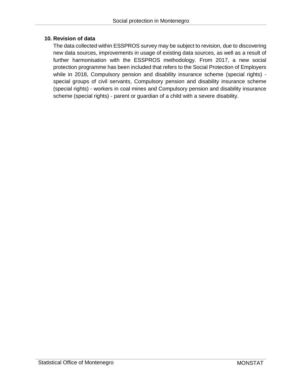#### <span id="page-10-0"></span>**10. Revision of data**

The data collected within ESSPROS survey may be subject to revision, due to discovering new data sources, improvements in usage of existing data sources, as well as a result of further harmonisation with the ESSPROS methodology. From 2017, a new social protection programme has been included that refers to the Social Protection of Employers while in 2018, Compulsory pension and disability insurance scheme (special rights) special groups of civil servants, Compulsory pension and disability insurance scheme (special rights) - workers in coal mines and Compulsory pension and disability insurance scheme (special rights) - parent or guardian of a child with a severe disability.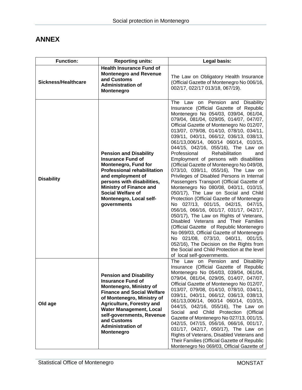## <span id="page-11-0"></span>**ANNEX**

| <b>Function:</b>           | <b>Reporting units:</b>                                                                                                                                                                                                                                                                                                    | Legal basis:                                                                                                                                                                                                                                                                                                                                                                                                                                                                                                                                                                                                                                                                                                                                                                                                                                                                                                                                                                                                                                                                                                                                                                                                        |
|----------------------------|----------------------------------------------------------------------------------------------------------------------------------------------------------------------------------------------------------------------------------------------------------------------------------------------------------------------------|---------------------------------------------------------------------------------------------------------------------------------------------------------------------------------------------------------------------------------------------------------------------------------------------------------------------------------------------------------------------------------------------------------------------------------------------------------------------------------------------------------------------------------------------------------------------------------------------------------------------------------------------------------------------------------------------------------------------------------------------------------------------------------------------------------------------------------------------------------------------------------------------------------------------------------------------------------------------------------------------------------------------------------------------------------------------------------------------------------------------------------------------------------------------------------------------------------------------|
| <b>Sickness/Healthcare</b> | <b>Health Insurance Fund of</b><br><b>Montenegro and Revenue</b><br>and Customs<br><b>Administration of</b><br><b>Montenegro</b>                                                                                                                                                                                           | The Law on Obligatory Health Insurance<br>(Official Gazette of Montenegro No 006/16,<br>002/17, 022/17 013/18, 067/19).                                                                                                                                                                                                                                                                                                                                                                                                                                                                                                                                                                                                                                                                                                                                                                                                                                                                                                                                                                                                                                                                                             |
| <b>Disability</b>          | <b>Pension and Disability</b><br><b>Insurance Fund of</b><br><b>Montenegro, Fund for</b><br><b>Professional rehabilitation</b><br>and employment of<br>persons with disabilities,<br><b>Ministry of Finance and</b><br><b>Social Welfare of</b><br>Montenegro, Local self-<br>governments                                  | The Law on Pension and Disability<br>Insurance (Official Gazette of Republic<br>Montenegro No 054/03, 039/04, 061/04,<br>079/04, 081/04, 029/05, 014/07, 047/07,<br>Official Gazette of Montenegro No 012/07,<br>013/07, 079/08, 014/10, 078/10, 034/11,<br>039/11, 040/11, 066/12, 036/13, 038/13,<br>061/13,006/14, 060/14 060/14, 010/15,<br>044/15, 042/16, 055/16), The Law on<br>Professional<br>Rehabilitation<br>and<br>Employment of persons with disabilities<br>(Official Gazette of Montenegro No 049/08,<br>073/10, 039/11, 055/16), The Law on<br>Privileges of Disabled Persons in Internal<br>Passengers Transport (Official Gazette of<br>Montenegro No 080/08, 040/11, 010/15,<br>050/17), The Law on Social and Child<br>Protection (Official Gazette of Montenegro<br>No 027/13, 001/15, 042/15, 047/15,<br>056/16, 066/16, 001/17, 031/17, 042/17,<br>050/17), The Law on Rights of Veterans,<br>Disabled Veterans and Their Families<br>(Official Gazette of Republic Montenegro<br>No 069/03, Official Gazette of Montenegro<br>No 021/08, 073/10, 040/11, 001/15,<br>052/16), The Decision on the Rights from<br>the Social and Child Protection at the level<br>of local self-governments. |
| Old age                    | <b>Pension and Disability</b><br><b>Insurance Fund of</b><br><b>Montenegro, Ministry of</b><br><b>Finance and Social Welfare</b><br>of Montenegro, Ministry of<br><b>Agriculture, Forestry and</b><br><b>Water Management, Local</b><br>self-governments, Revenue<br>and Customs<br><b>Administration of</b><br>Montenegro | The Law on Pension and Disability<br>Insurance (Official Gazette of Republic<br>Montenegro No 054/03, 039/04, 061/04,<br>079/04, 081/04, 029/05, 014/07, 047/07,<br>Official Gazette of Montenegro No 012/07,<br>013/07, 079/08, 014/10, 078/10, 034/11,<br>039/11, 040/11, 066/12, 036/13, 038/13,<br>061/13,006/14, 060/14 060/14, 010/15,<br>044/15, 042/16, 055/16), The Law on<br>Social and Child Protection (Official<br>Gazette of Montenegro No 027/13, 001/15,<br>042/15, 047/15, 056/16, 066/16, 001/17,<br>031/17, 042/17, 050/17), The Law on<br>Rights of Veterans, Disabled Veterans and<br>Their Families (Official Gazette of Republic<br>Montenegro No 069/03, Official Gazette of                                                                                                                                                                                                                                                                                                                                                                                                                                                                                                                |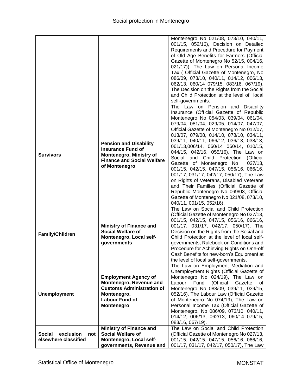|                                                                                                                                |                                                                                                                                                   | Montenegro No 021/08, 073/10, 040/11,<br>001/15, 052/16), Decision on Detailed<br>Requirements and Procedure for Payment<br>of Old Age Benefits for Farmers (Official<br>Gazette of Montenegro No 52/15, 004/16,<br>021/17)), The Law on Personal Income<br>Tax ( Official Gazette of Montenegro, No<br>086/09, 073/10, 040/11, 014/12, 006/13,<br>062/13, 060/14 079/15, 083/16, 067/19),<br>The Decision on the Rights from the Social<br>and Child Protection at the level of local                                                                                                                                                                                                                                                                                                       |
|--------------------------------------------------------------------------------------------------------------------------------|---------------------------------------------------------------------------------------------------------------------------------------------------|----------------------------------------------------------------------------------------------------------------------------------------------------------------------------------------------------------------------------------------------------------------------------------------------------------------------------------------------------------------------------------------------------------------------------------------------------------------------------------------------------------------------------------------------------------------------------------------------------------------------------------------------------------------------------------------------------------------------------------------------------------------------------------------------|
| <b>Survivors</b>                                                                                                               | <b>Pension and Disability</b><br><b>Insurance Fund of</b><br><b>Montenegro, Ministry of</b><br><b>Finance and Social Welfare</b><br>of Montenegro | self-governments.<br>The Law on Pension and Disability<br>Insurance (Official Gazette of Republic<br>Montenegro No 054/03, 039/04, 061/04,<br>079/04, 081/04, 029/05, 014/07, 047/07,<br>Official Gazette of Montenegro No 012/07,<br>013/07, 079/08, 014/10, 078/10, 034/11,<br>039/11, 040/11, 066/12, 036/13, 038/13,<br>061/13,006/14, 060/14 060/14, 010/15,<br>044/15, 042/16, 055/16), The Law on<br>Social and Child Protection (Official<br>Gazette of Montenegro No<br>$027/13$ ,<br>001/15, 042/15, 047/15, 056/16, 066/16,<br>001/17, 031/17, 042/17, 050/17), The Law<br>on Rights of Veterans, Disabled Veterans<br>and Their Families (Official Gazette of<br>Republic Montenegro No 069/03, Official<br>Gazette of Montenegro No 021/08, 073/10,<br>040/11, 001/15, 052/16). |
| <b>Ministry of Finance and</b><br><b>Social Welfare of</b><br><b>Family/Children</b><br>Montenegro, Local self-<br>governments |                                                                                                                                                   | The Law on Social and Child Protection<br>(Official Gazette of Montenegro No 027/13,<br>001/15, 042/15, 047/15, 056/16, 066/16,<br>001/17, 031/17, 042/17, 050/17), The<br>Decision on the Rights from the Social and<br>Child Protection at the level of local self-<br>governments, Rulebook on Conditions and<br>Procedure for Achieving Rights on One-off<br>Cash Benefits for new-born's Equipment at<br>the level of local self-governments.                                                                                                                                                                                                                                                                                                                                           |
| <b>Unemployment</b>                                                                                                            | <b>Employment Agency of</b><br>Montenegro, Revenue and<br><b>Customs Administration of</b><br>Montenegro,<br><b>Labour Fund of</b><br>Montenegro  | The Law on Employment Mediation and<br>Unemployment Rights (Official Gazette of<br>Montenegro No 024/19), The Law on<br>Fund<br>(Official<br>Gazette<br>Labour<br>of<br>Montenegro No 088/09, 039/11, 039/15,<br>052/16), The Labour Law (Official Gazette<br>of Montenegro No 074/19), The Law on<br>Personal Income Tax (Official Gazette of<br>Montenegro, No 086/09, 073/10, 040/11,<br>014/12, 006/13, 062/13, 060/14 079/15,<br>083/16, 067/19).                                                                                                                                                                                                                                                                                                                                       |
| exclusion<br><b>Social</b><br>not<br>elsewhere classified                                                                      | <b>Ministry of Finance and</b><br><b>Social Welfare of</b><br>Montenegro, Local self-<br>governments, Revenue and                                 | The Law on Social and Child Protection<br>(Official Gazette of Montenegro No 027/13,<br>001/15, 042/15, 047/15, 056/16, 066/16,<br>001/17, 031/17, 042/17, 050/17), The Law                                                                                                                                                                                                                                                                                                                                                                                                                                                                                                                                                                                                                  |